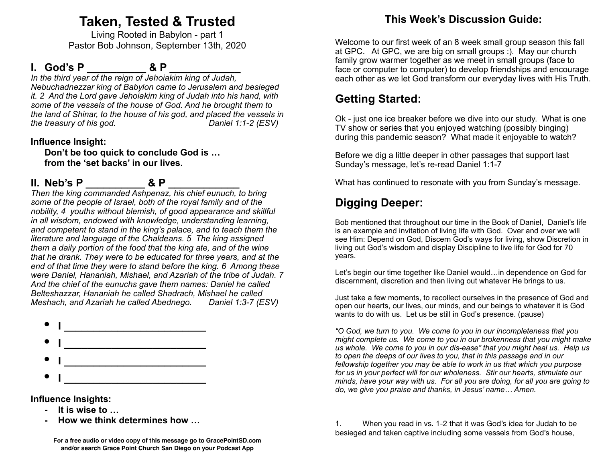# **Taken, Tested & Trusted**

Living Rooted in Babylon - part 1 Pastor Bob Johnson, September 13th, 2020

### **I.** God's P  $\& P$

*In the third year of the reign of Jehoiakim king of Judah, Nebuchadnezzar king of Babylon came to Jerusalem and besieged it. 2 And the Lord gave Jehoiakim king of Judah into his hand, with some of the vessels of the house of God. And he brought them to the land of Shinar, to the house of his god, and placed the vessels in the treasury of his god. Daniel 1:1-2 (ESV)* 

#### **Influence Insight:**

 **Don't be too quick to conclude God is … from the 'set backs' in our lives.** 

### **II.** Neb's P  $\bullet$  **& P**

*Then the king commanded Ashpenaz, his chief eunuch, to bring some of the people of Israel, both of the royal family and of the nobility, 4 youths without blemish, of good appearance and skillful in all wisdom, endowed with knowledge, understanding learning, and competent to stand in the king's palace, and to teach them the literature and language of the Chaldeans. 5 The king assigned them a daily portion of the food that the king ate, and of the wine that he drank. They were to be educated for three years, and at the end of that time they were to stand before the king. 6 Among these were Daniel, Hananiah, Mishael, and Azariah of the tribe of Judah. 7 And the chief of the eunuchs gave them names: Daniel he called Belteshazzar, Hananiah he called Shadrach, Mishael he called Meshach, and Azariah he called Abednego. Daniel 1:3-7 (ESV)* 



**Influence Insights:**

- **It is wise to …**
- **How we think determines how ...**

### **This Week's Discussion Guide:**

Welcome to our first week of an 8 week small group season this fall at GPC. At GPC, we are big on small groups :). May our church family grow warmer together as we meet in small groups (face to face or computer to computer) to develop friendships and encourage each other as we let God transform our everyday lives with His Truth.

## **Getting Started:**

Ok - just one ice breaker before we dive into our study. What is one TV show or series that you enjoyed watching (possibly binging) during this pandemic season? What made it enjoyable to watch?

Before we dig a little deeper in other passages that support last Sunday's message, let's re-read Daniel 1:1-7

What has continued to resonate with you from Sunday's message.

## **Digging Deeper:**

Bob mentioned that throughout our time in the Book of Daniel, Daniel's life is an example and invitation of living life with God. Over and over we will see Him: Depend on God, Discern God's ways for living, show Discretion in living out God's wisdom and display Discipline to live life for God for 70 years.

Let's begin our time together like Daniel would…in dependence on God for discernment, discretion and then living out whatever He brings to us.

Just take a few moments, to recollect ourselves in the presence of God and open our hearts, our lives, our minds, and our beings to whatever it is God wants to do with us. Let us be still in God's presence. (pause)

*"O God, we turn to you. We come to you in our incompleteness that you might complete us. We come to you in our brokenness that you might make us whole. We come to you in our dis-ease" that you might heal us. Help us to open the deeps of our lives to you, that in this passage and in our fellowship together you may be able to work in us that which you purpose for us in your perfect will for our wholeness. Stir our hearts, stimulate our minds, have your way with us. For all you are doing, for all you are going to do, we give you praise and thanks, in Jesus' name… Amen.* 

1. When you read in vs. 1-2 that it was God's idea for Judah to be besieged and taken captive including some vessels from God's house,